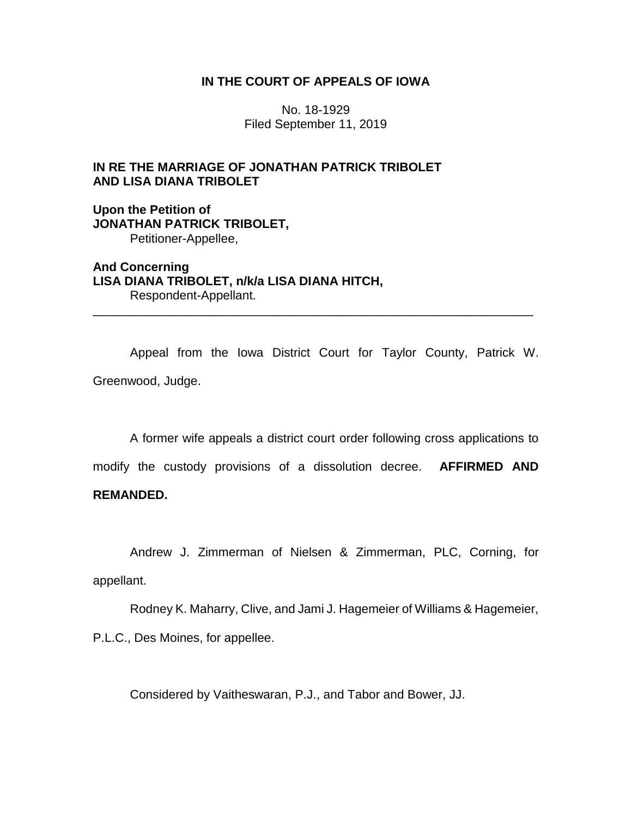## **IN THE COURT OF APPEALS OF IOWA**

No. 18-1929 Filed September 11, 2019

# **IN RE THE MARRIAGE OF JONATHAN PATRICK TRIBOLET AND LISA DIANA TRIBOLET**

**Upon the Petition of JONATHAN PATRICK TRIBOLET,** Petitioner-Appellee,

**And Concerning LISA DIANA TRIBOLET, n/k/a LISA DIANA HITCH,** Respondent-Appellant.

Appeal from the Iowa District Court for Taylor County, Patrick W. Greenwood, Judge.

\_\_\_\_\_\_\_\_\_\_\_\_\_\_\_\_\_\_\_\_\_\_\_\_\_\_\_\_\_\_\_\_\_\_\_\_\_\_\_\_\_\_\_\_\_\_\_\_\_\_\_\_\_\_\_\_\_\_\_\_\_\_\_\_

A former wife appeals a district court order following cross applications to

modify the custody provisions of a dissolution decree. **AFFIRMED AND** 

## **REMANDED.**

Andrew J. Zimmerman of Nielsen & Zimmerman, PLC, Corning, for appellant.

Rodney K. Maharry, Clive, and Jami J. Hagemeier of Williams & Hagemeier, P.L.C., Des Moines, for appellee.

Considered by Vaitheswaran, P.J., and Tabor and Bower, JJ.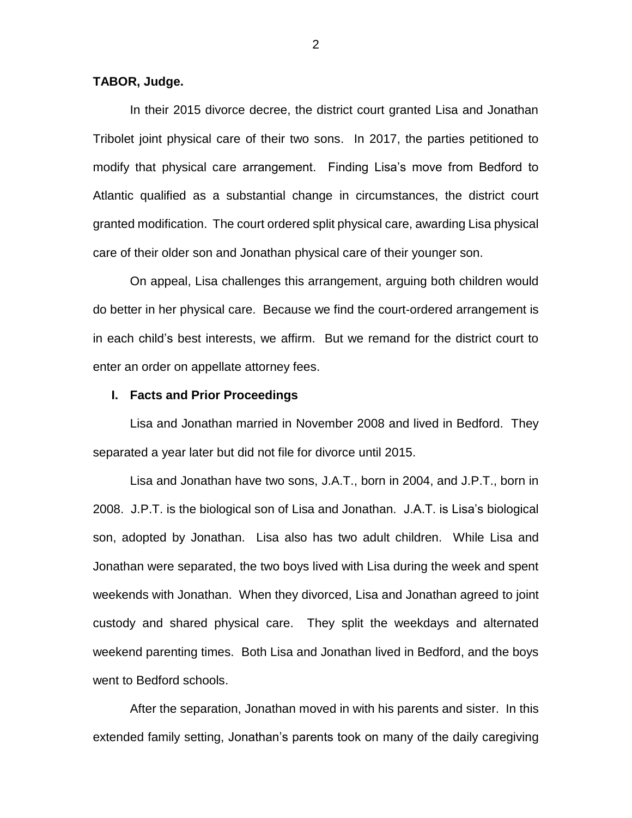## **TABOR, Judge.**

In their 2015 divorce decree, the district court granted Lisa and Jonathan Tribolet joint physical care of their two sons. In 2017, the parties petitioned to modify that physical care arrangement. Finding Lisa's move from Bedford to Atlantic qualified as a substantial change in circumstances, the district court granted modification. The court ordered split physical care, awarding Lisa physical care of their older son and Jonathan physical care of their younger son.

On appeal, Lisa challenges this arrangement, arguing both children would do better in her physical care. Because we find the court-ordered arrangement is in each child's best interests, we affirm. But we remand for the district court to enter an order on appellate attorney fees.

## **I. Facts and Prior Proceedings**

Lisa and Jonathan married in November 2008 and lived in Bedford. They separated a year later but did not file for divorce until 2015.

Lisa and Jonathan have two sons, J.A.T., born in 2004, and J.P.T., born in 2008. J.P.T. is the biological son of Lisa and Jonathan. J.A.T. is Lisa's biological son, adopted by Jonathan. Lisa also has two adult children. While Lisa and Jonathan were separated, the two boys lived with Lisa during the week and spent weekends with Jonathan. When they divorced, Lisa and Jonathan agreed to joint custody and shared physical care. They split the weekdays and alternated weekend parenting times. Both Lisa and Jonathan lived in Bedford, and the boys went to Bedford schools.

After the separation, Jonathan moved in with his parents and sister. In this extended family setting, Jonathan's parents took on many of the daily caregiving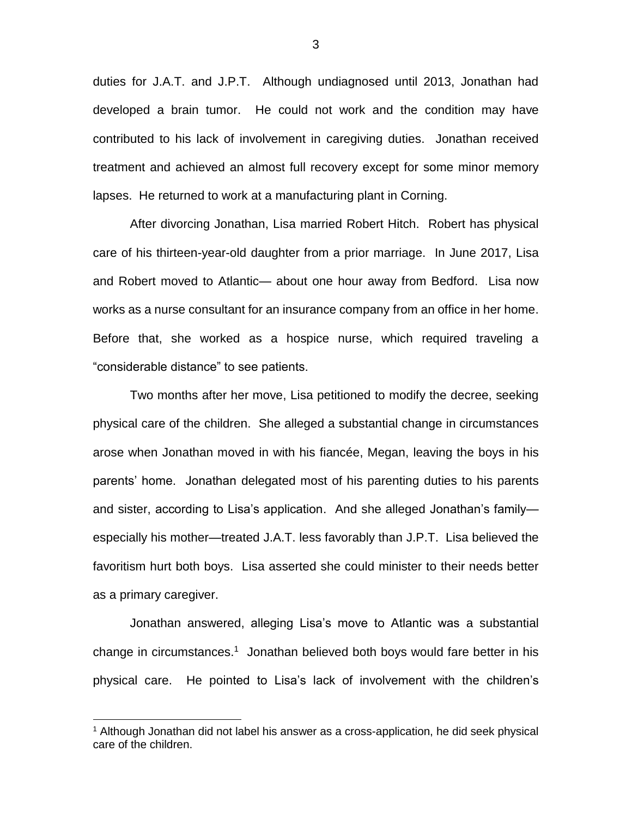duties for J.A.T. and J.P.T. Although undiagnosed until 2013, Jonathan had developed a brain tumor. He could not work and the condition may have contributed to his lack of involvement in caregiving duties. Jonathan received treatment and achieved an almost full recovery except for some minor memory lapses. He returned to work at a manufacturing plant in Corning.

After divorcing Jonathan, Lisa married Robert Hitch. Robert has physical care of his thirteen-year-old daughter from a prior marriage. In June 2017, Lisa and Robert moved to Atlantic— about one hour away from Bedford. Lisa now works as a nurse consultant for an insurance company from an office in her home. Before that, she worked as a hospice nurse, which required traveling a "considerable distance" to see patients.

Two months after her move, Lisa petitioned to modify the decree, seeking physical care of the children. She alleged a substantial change in circumstances arose when Jonathan moved in with his fiancée, Megan, leaving the boys in his parents' home. Jonathan delegated most of his parenting duties to his parents and sister, according to Lisa's application. And she alleged Jonathan's family especially his mother—treated J.A.T. less favorably than J.P.T. Lisa believed the favoritism hurt both boys. Lisa asserted she could minister to their needs better as a primary caregiver.

Jonathan answered, alleging Lisa's move to Atlantic was a substantial change in circumstances.<sup>1</sup> Jonathan believed both boys would fare better in his physical care. He pointed to Lisa's lack of involvement with the children's

 $\overline{a}$ 

3

<sup>&</sup>lt;sup>1</sup> Although Jonathan did not label his answer as a cross-application, he did seek physical care of the children.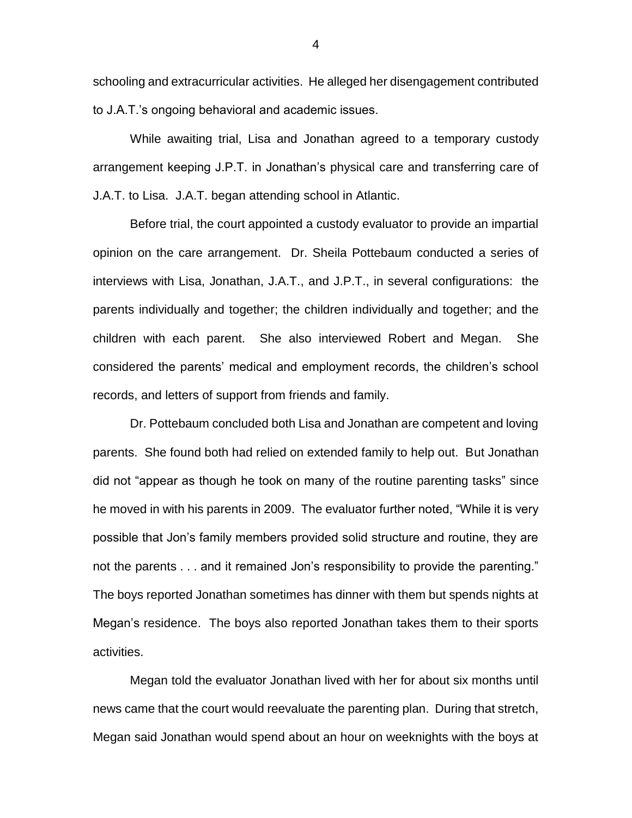schooling and extracurricular activities. He alleged her disengagement contributed to J.A.T.'s ongoing behavioral and academic issues.

While awaiting trial, Lisa and Jonathan agreed to a temporary custody arrangement keeping J.P.T. in Jonathan's physical care and transferring care of J.A.T. to Lisa. J.A.T. began attending school in Atlantic.

Before trial, the court appointed a custody evaluator to provide an impartial opinion on the care arrangement. Dr. Sheila Pottebaum conducted a series of interviews with Lisa, Jonathan, J.A.T., and J.P.T., in several configurations: the parents individually and together; the children individually and together; and the children with each parent. She also interviewed Robert and Megan. She considered the parents' medical and employment records, the children's school records, and letters of support from friends and family.

Dr. Pottebaum concluded both Lisa and Jonathan are competent and loving parents. She found both had relied on extended family to help out. But Jonathan did not "appear as though he took on many of the routine parenting tasks" since he moved in with his parents in 2009. The evaluator further noted, "While it is very possible that Jon's family members provided solid structure and routine, they are not the parents . . . and it remained Jon's responsibility to provide the parenting." The boys reported Jonathan sometimes has dinner with them but spends nights at Megan's residence. The boys also reported Jonathan takes them to their sports activities.

Megan told the evaluator Jonathan lived with her for about six months until news came that the court would reevaluate the parenting plan. During that stretch, Megan said Jonathan would spend about an hour on weeknights with the boys at

4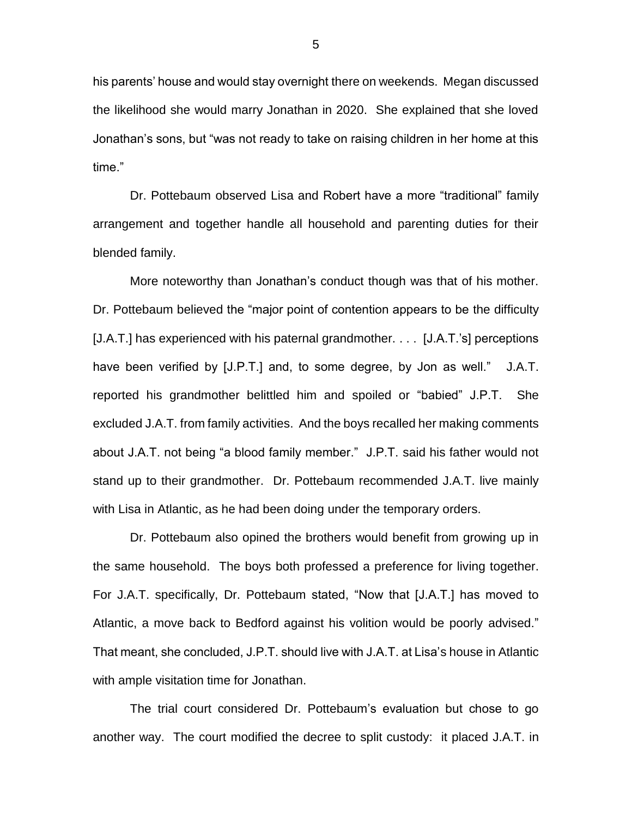his parents' house and would stay overnight there on weekends. Megan discussed the likelihood she would marry Jonathan in 2020. She explained that she loved Jonathan's sons, but "was not ready to take on raising children in her home at this time."

Dr. Pottebaum observed Lisa and Robert have a more "traditional" family arrangement and together handle all household and parenting duties for their blended family.

More noteworthy than Jonathan's conduct though was that of his mother. Dr. Pottebaum believed the "major point of contention appears to be the difficulty [J.A.T.] has experienced with his paternal grandmother. . . . [J.A.T.'s] perceptions have been verified by [J.P.T.] and, to some degree, by Jon as well." J.A.T. reported his grandmother belittled him and spoiled or "babied" J.P.T. She excluded J.A.T. from family activities. And the boys recalled her making comments about J.A.T. not being "a blood family member." J.P.T. said his father would not stand up to their grandmother. Dr. Pottebaum recommended J.A.T. live mainly with Lisa in Atlantic, as he had been doing under the temporary orders.

Dr. Pottebaum also opined the brothers would benefit from growing up in the same household. The boys both professed a preference for living together. For J.A.T. specifically, Dr. Pottebaum stated, "Now that [J.A.T.] has moved to Atlantic, a move back to Bedford against his volition would be poorly advised." That meant, she concluded, J.P.T. should live with J.A.T. at Lisa's house in Atlantic with ample visitation time for Jonathan.

The trial court considered Dr. Pottebaum's evaluation but chose to go another way. The court modified the decree to split custody: it placed J.A.T. in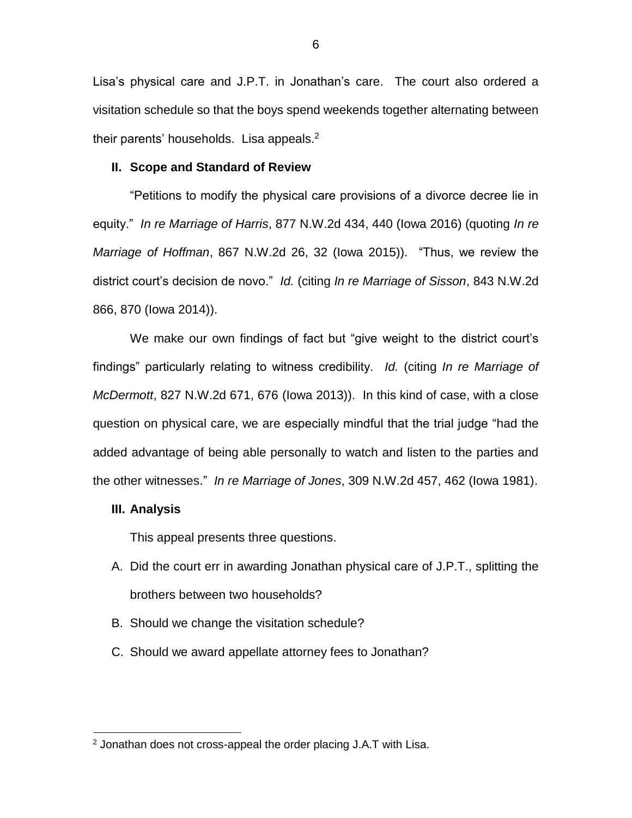Lisa's physical care and J.P.T. in Jonathan's care. The court also ordered a visitation schedule so that the boys spend weekends together alternating between their parents' households. Lisa appeals.<sup>2</sup>

#### **II. Scope and Standard of Review**

"Petitions to modify the physical care provisions of a divorce decree lie in equity." *In re Marriage of Harris*, 877 N.W.2d 434, 440 (Iowa 2016) (quoting *In re Marriage of Hoffman*, 867 N.W.2d 26, 32 (Iowa 2015)). "Thus, we review the district court's decision de novo." *Id.* (citing *In re Marriage of Sisson*, 843 N.W.2d 866, 870 (Iowa 2014)).

We make our own findings of fact but "give weight to the district court's findings" particularly relating to witness credibility. *Id.* (citing *In re Marriage of McDermott*, 827 N.W.2d 671, 676 (Iowa 2013)). In this kind of case, with a close question on physical care, we are especially mindful that the trial judge "had the added advantage of being able personally to watch and listen to the parties and the other witnesses." *In re Marriage of Jones*, 309 N.W.2d 457, 462 (Iowa 1981).

## **III. Analysis**

 $\overline{a}$ 

This appeal presents three questions.

- A. Did the court err in awarding Jonathan physical care of J.P.T., splitting the brothers between two households?
- B. Should we change the visitation schedule?
- C. Should we award appellate attorney fees to Jonathan?

 $2$  Jonathan does not cross-appeal the order placing J.A.T with Lisa.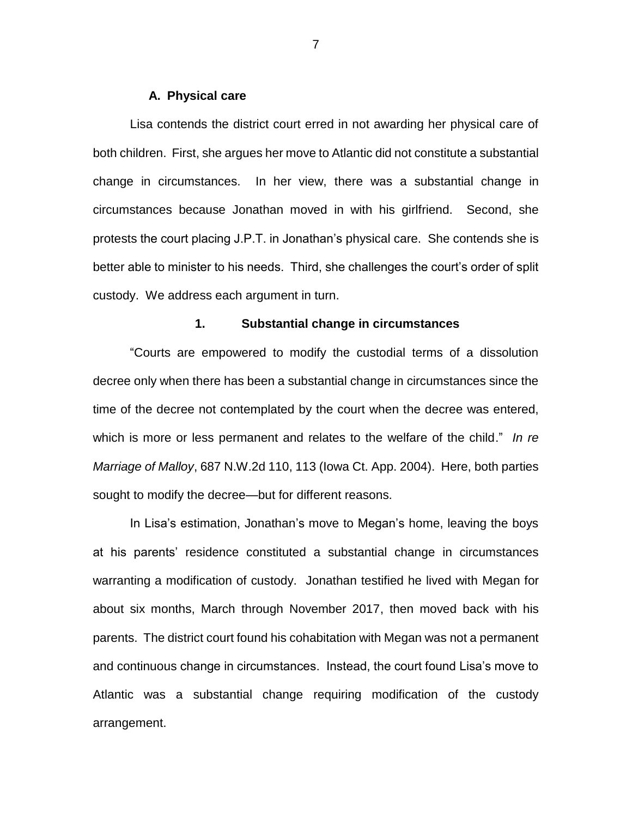#### **A. Physical care**

Lisa contends the district court erred in not awarding her physical care of both children. First, she argues her move to Atlantic did not constitute a substantial change in circumstances. In her view, there was a substantial change in circumstances because Jonathan moved in with his girlfriend. Second, she protests the court placing J.P.T. in Jonathan's physical care. She contends she is better able to minister to his needs. Third, she challenges the court's order of split custody. We address each argument in turn.

## **1. Substantial change in circumstances**

"Courts are empowered to modify the custodial terms of a dissolution decree only when there has been a substantial change in circumstances since the time of the decree not contemplated by the court when the decree was entered, which is more or less permanent and relates to the welfare of the child." *In re Marriage of Malloy*, 687 N.W.2d 110, 113 (Iowa Ct. App. 2004). Here, both parties sought to modify the decree—but for different reasons.

In Lisa's estimation, Jonathan's move to Megan's home, leaving the boys at his parents' residence constituted a substantial change in circumstances warranting a modification of custody. Jonathan testified he lived with Megan for about six months, March through November 2017, then moved back with his parents. The district court found his cohabitation with Megan was not a permanent and continuous change in circumstances. Instead, the court found Lisa's move to Atlantic was a substantial change requiring modification of the custody arrangement.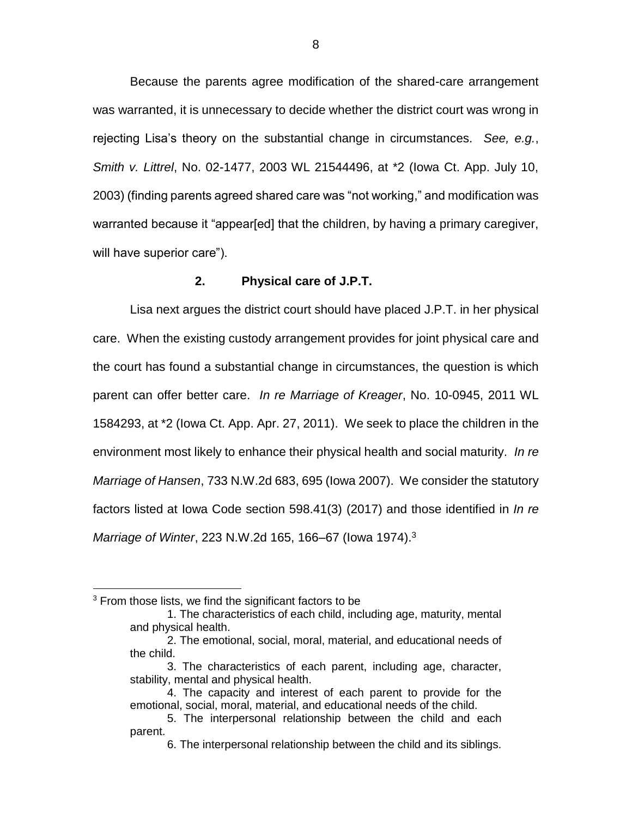Because the parents agree modification of the shared-care arrangement was warranted, it is unnecessary to decide whether the district court was wrong in rejecting Lisa's theory on the substantial change in circumstances. *See, e.g.*, *Smith v. Littrel*, No. 02-1477, 2003 WL 21544496, at \*2 (Iowa Ct. App. July 10, 2003) (finding parents agreed shared care was "not working," and modification was warranted because it "appear[ed] that the children, by having a primary caregiver, will have superior care").

#### **2. Physical care of J.P.T.**

Lisa next argues the district court should have placed J.P.T. in her physical care. When the existing custody arrangement provides for joint physical care and the court has found a substantial change in circumstances, the question is which parent can offer better care. *In re Marriage of Kreager*, No. 10-0945, 2011 WL 1584293, at \*2 (Iowa Ct. App. Apr. 27, 2011). We seek to place the children in the environment most likely to enhance their physical health and social maturity. *In re Marriage of Hansen*, 733 N.W.2d 683, 695 (Iowa 2007). We consider the statutory factors listed at Iowa Code section 598.41(3) (2017) and those identified in *In re Marriage of Winter*, 223 N.W.2d 165, 166–67 (Iowa 1974).<sup>3</sup>

 $\overline{a}$ 

 $3$  From those lists, we find the significant factors to be

<sup>1.</sup> The characteristics of each child, including age, maturity, mental and physical health.

<sup>2.</sup> The emotional, social, moral, material, and educational needs of the child.

<sup>3.</sup> The characteristics of each parent, including age, character, stability, mental and physical health.

<sup>4.</sup> The capacity and interest of each parent to provide for the emotional, social, moral, material, and educational needs of the child.

<sup>5.</sup> The interpersonal relationship between the child and each parent.

<sup>6.</sup> The interpersonal relationship between the child and its siblings.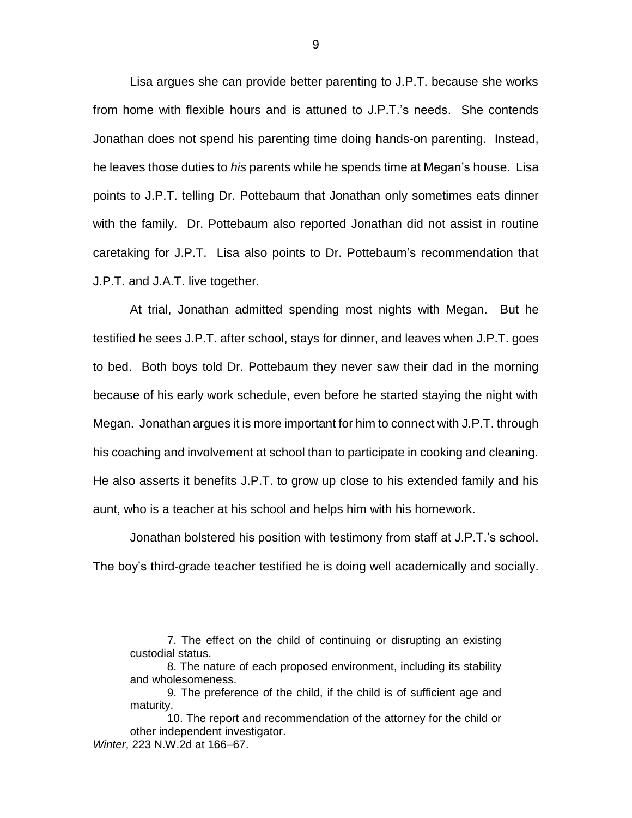Lisa argues she can provide better parenting to J.P.T. because she works from home with flexible hours and is attuned to J.P.T.'s needs. She contends Jonathan does not spend his parenting time doing hands-on parenting. Instead, he leaves those duties to *his* parents while he spends time at Megan's house. Lisa points to J.P.T. telling Dr. Pottebaum that Jonathan only sometimes eats dinner with the family. Dr. Pottebaum also reported Jonathan did not assist in routine caretaking for J.P.T. Lisa also points to Dr. Pottebaum's recommendation that J.P.T. and J.A.T. live together.

At trial, Jonathan admitted spending most nights with Megan. But he testified he sees J.P.T. after school, stays for dinner, and leaves when J.P.T. goes to bed. Both boys told Dr. Pottebaum they never saw their dad in the morning because of his early work schedule, even before he started staying the night with Megan. Jonathan argues it is more important for him to connect with J.P.T. through his coaching and involvement at school than to participate in cooking and cleaning. He also asserts it benefits J.P.T. to grow up close to his extended family and his aunt, who is a teacher at his school and helps him with his homework.

Jonathan bolstered his position with testimony from staff at J.P.T.'s school. The boy's third-grade teacher testified he is doing well academically and socially.

 $\overline{a}$ 

<sup>7.</sup> The effect on the child of continuing or disrupting an existing custodial status.

<sup>8.</sup> The nature of each proposed environment, including its stability and wholesomeness.

<sup>9.</sup> The preference of the child, if the child is of sufficient age and maturity.

<sup>10.</sup> The report and recommendation of the attorney for the child or other independent investigator. *Winter*, 223 N.W.2d at 166–67.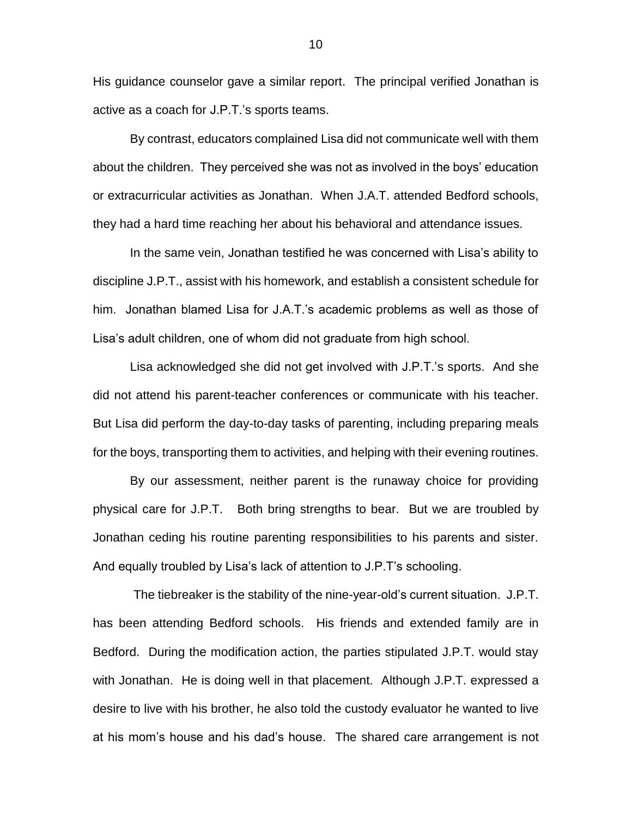His guidance counselor gave a similar report. The principal verified Jonathan is active as a coach for J.P.T.'s sports teams.

By contrast, educators complained Lisa did not communicate well with them about the children. They perceived she was not as involved in the boys' education or extracurricular activities as Jonathan. When J.A.T. attended Bedford schools, they had a hard time reaching her about his behavioral and attendance issues.

In the same vein, Jonathan testified he was concerned with Lisa's ability to discipline J.P.T., assist with his homework, and establish a consistent schedule for him. Jonathan blamed Lisa for J.A.T.'s academic problems as well as those of Lisa's adult children, one of whom did not graduate from high school.

Lisa acknowledged she did not get involved with J.P.T.'s sports. And she did not attend his parent-teacher conferences or communicate with his teacher. But Lisa did perform the day-to-day tasks of parenting, including preparing meals for the boys, transporting them to activities, and helping with their evening routines.

By our assessment, neither parent is the runaway choice for providing physical care for J.P.T. Both bring strengths to bear. But we are troubled by Jonathan ceding his routine parenting responsibilities to his parents and sister. And equally troubled by Lisa's lack of attention to J.P.T's schooling.

The tiebreaker is the stability of the nine-year-old's current situation. J.P.T. has been attending Bedford schools. His friends and extended family are in Bedford. During the modification action, the parties stipulated J.P.T. would stay with Jonathan. He is doing well in that placement. Although J.P.T. expressed a desire to live with his brother, he also told the custody evaluator he wanted to live at his mom's house and his dad's house. The shared care arrangement is not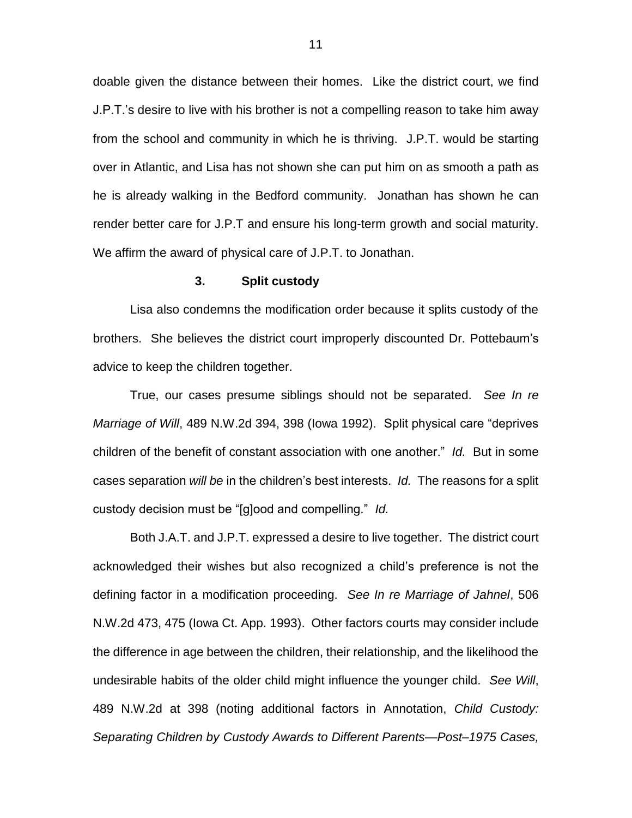doable given the distance between their homes. Like the district court, we find J.P.T.'s desire to live with his brother is not a compelling reason to take him away from the school and community in which he is thriving. J.P.T. would be starting over in Atlantic, and Lisa has not shown she can put him on as smooth a path as he is already walking in the Bedford community. Jonathan has shown he can render better care for J.P.T and ensure his long-term growth and social maturity. We affirm the award of physical care of J.P.T. to Jonathan.

#### **3. Split custody**

Lisa also condemns the modification order because it splits custody of the brothers. She believes the district court improperly discounted Dr. Pottebaum's advice to keep the children together.

True, our cases presume siblings should not be separated. *See In re Marriage of Will*, 489 N.W.2d 394, 398 (Iowa 1992). Split physical care "deprives children of the benefit of constant association with one another." *Id.* But in some cases separation *will be* in the children's best interests. *Id.* The reasons for a split custody decision must be "[g]ood and compelling." *Id.*

Both J.A.T. and J.P.T. expressed a desire to live together. The district court acknowledged their wishes but also recognized a child's preference is not the defining factor in a modification proceeding. *See In re Marriage of Jahnel*, 506 N.W.2d 473, 475 (Iowa Ct. App. 1993). Other factors courts may consider include the difference in age between the children, their relationship, and the likelihood the undesirable habits of the older child might influence the younger child. *See Will*, 489 N.W.2d at 398 (noting additional factors in Annotation, *Child Custody: Separating Children by Custody Awards to Different Parents—Post–1975 Cases,*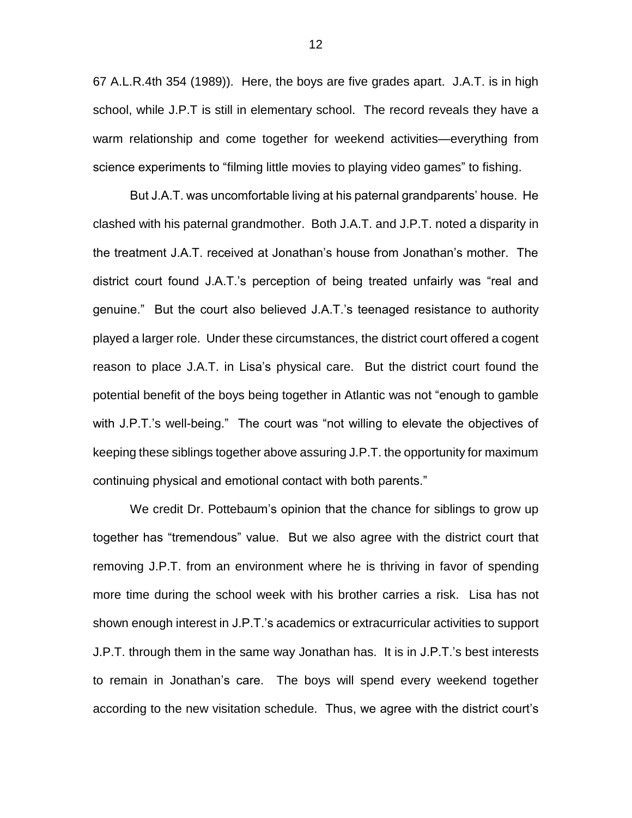67 A.L.R.4th 354 (1989)). Here, the boys are five grades apart. J.A.T. is in high school, while J.P.T is still in elementary school. The record reveals they have a warm relationship and come together for weekend activities—everything from science experiments to "filming little movies to playing video games" to fishing.

But J.A.T. was uncomfortable living at his paternal grandparents' house. He clashed with his paternal grandmother. Both J.A.T. and J.P.T. noted a disparity in the treatment J.A.T. received at Jonathan's house from Jonathan's mother. The district court found J.A.T.'s perception of being treated unfairly was "real and genuine." But the court also believed J.A.T.'s teenaged resistance to authority played a larger role. Under these circumstances, the district court offered a cogent reason to place J.A.T. in Lisa's physical care. But the district court found the potential benefit of the boys being together in Atlantic was not "enough to gamble with J.P.T.'s well-being." The court was "not willing to elevate the objectives of keeping these siblings together above assuring J.P.T. the opportunity for maximum continuing physical and emotional contact with both parents."

We credit Dr. Pottebaum's opinion that the chance for siblings to grow up together has "tremendous" value. But we also agree with the district court that removing J.P.T. from an environment where he is thriving in favor of spending more time during the school week with his brother carries a risk. Lisa has not shown enough interest in J.P.T.'s academics or extracurricular activities to support J.P.T. through them in the same way Jonathan has. It is in J.P.T.'s best interests to remain in Jonathan's care. The boys will spend every weekend together according to the new visitation schedule. Thus, we agree with the district court's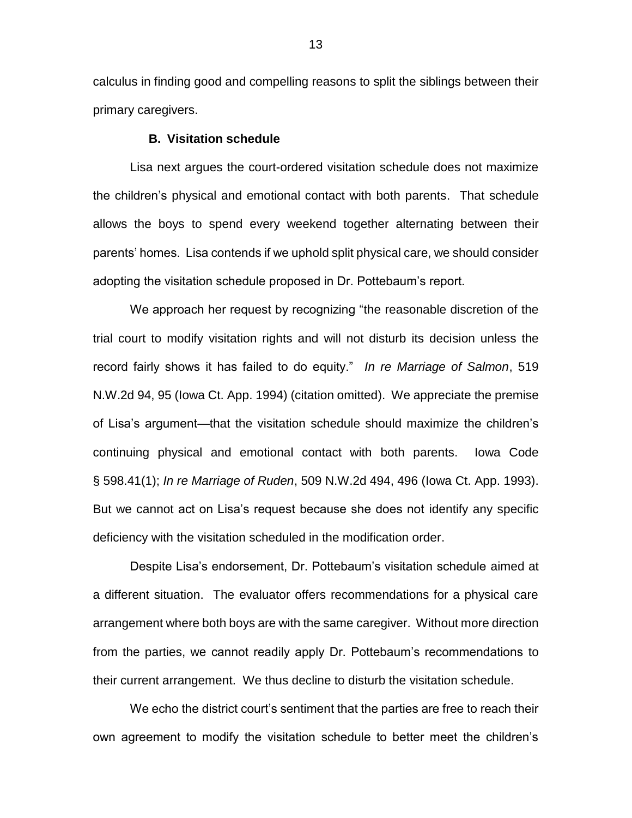calculus in finding good and compelling reasons to split the siblings between their primary caregivers.

## **B. Visitation schedule**

Lisa next argues the court-ordered visitation schedule does not maximize the children's physical and emotional contact with both parents. That schedule allows the boys to spend every weekend together alternating between their parents' homes. Lisa contends if we uphold split physical care, we should consider adopting the visitation schedule proposed in Dr. Pottebaum's report.

We approach her request by recognizing "the reasonable discretion of the trial court to modify visitation rights and will not disturb its decision unless the record fairly shows it has failed to do equity." *In re Marriage of Salmon*, 519 N.W.2d 94, 95 (Iowa Ct. App. 1994) (citation omitted). We appreciate the premise of Lisa's argument—that the visitation schedule should maximize the children's continuing physical and emotional contact with both parents. Iowa Code § 598.41(1); *In re Marriage of Ruden*, 509 N.W.2d 494, 496 (Iowa Ct. App. 1993). But we cannot act on Lisa's request because she does not identify any specific deficiency with the visitation scheduled in the modification order.

Despite Lisa's endorsement, Dr. Pottebaum's visitation schedule aimed at a different situation. The evaluator offers recommendations for a physical care arrangement where both boys are with the same caregiver. Without more direction from the parties, we cannot readily apply Dr. Pottebaum's recommendations to their current arrangement. We thus decline to disturb the visitation schedule.

We echo the district court's sentiment that the parties are free to reach their own agreement to modify the visitation schedule to better meet the children's